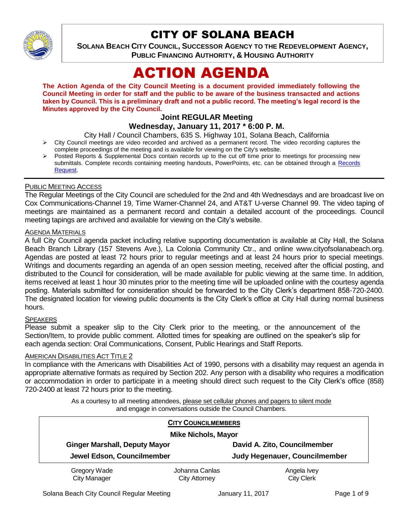

# CITY OF SOLANA BEACH

**SOLANA BEACH CITY COUNCIL, SUCCESSOR AGENCY TO THE REDEVELOPMENT AGENCY, PUBLIC FINANCING AUTHORITY, & HOUSING AUTHORITY** 

# ACTION AGENDA

**The Action Agenda of the City Council Meeting is a document provided immediately following the Council Meeting in order for staff and the public to be aware of the business transacted and actions taken by Council. This is a preliminary draft and not a public record. The meeting's legal record is the Minutes approved by the City Council.**

## **Joint REGULAR Meeting**

## **Wednesday, January 11, 2017 \* 6:00 P. M.**

City Hall / Council Chambers, 635 S. Highway 101, Solana Beach, California

- $\triangleright$  City Council meetings are video recorded and archived as a permanent record. The video recording captures the complete proceedings of the meeting and is available for viewing on the City's website.
- Posted Reports & Supplemental Docs contain records up to the cut off time prior to meetings for processing new submittals. Complete records containing meeting handouts, PowerPoints, etc. can be obtained through a Records [Request.](http://www.ci.solana-beach.ca.us/index.asp?SEC=F5D45D10-70CE-4291-A27C-7BD633FC6742&Type=B_BASIC)

#### PUBLIC MEETING ACCESS

The Regular Meetings of the City Council are scheduled for the 2nd and 4th Wednesdays and are broadcast live on Cox Communications-Channel 19, Time Warner-Channel 24, and AT&T U-verse Channel 99. The video taping of meetings are maintained as a permanent record and contain a detailed account of the proceedings. Council meeting tapings are archived and available for viewing on the City's website.

## **AGENDA MATERIALS**

A full City Council agenda packet including relative supporting documentation is available at City Hall, the Solana Beach Branch Library (157 Stevens Ave.), La Colonia Community Ctr., and online www.cityofsolanabeach.org. Agendas are posted at least 72 hours prior to regular meetings and at least 24 hours prior to special meetings. Writings and documents regarding an agenda of an open session meeting, received after the official posting, and distributed to the Council for consideration, will be made available for public viewing at the same time. In addition, items received at least 1 hour 30 minutes prior to the meeting time will be uploaded online with the courtesy agenda posting. Materials submitted for consideration should be forwarded to the City Clerk's department 858-720-2400. The designated location for viewing public documents is the City Clerk's office at City Hall during normal business hours.

#### **SPEAKERS**

Please submit a speaker slip to the City Clerk prior to the meeting, or the announcement of the Section/Item, to provide public comment. Allotted times for speaking are outlined on the speaker's slip for each agenda section: Oral Communications, Consent, Public Hearings and Staff Reports.

#### AMERICAN DISABILITIES ACT TITLE 2

In compliance with the Americans with Disabilities Act of 1990, persons with a disability may request an agenda in appropriate alternative formats as required by Section 202. Any person with a disability who requires a modification or accommodation in order to participate in a meeting should direct such request to the City Clerk's office (858) 720-2400 at least 72 hours prior to the meeting.

> As a courtesy to all meeting attendees, please set cellular phones and pagers to silent mode and engage in conversations outside the Council Chambers.

| <b>CITY COUNCILMEMBERS</b><br><b>Mike Nichols, Mayor</b> |                                        |                                      |
|----------------------------------------------------------|----------------------------------------|--------------------------------------|
| <b>Ginger Marshall, Deputy Mayor</b>                     |                                        | David A. Zito, Councilmember         |
| Jewel Edson, Councilmember                               |                                        | <b>Judy Hegenauer, Councilmember</b> |
| Gregory Wade<br><b>City Manager</b>                      | Johanna Canlas<br><b>City Attorney</b> | Angela Ivey<br><b>City Clerk</b>     |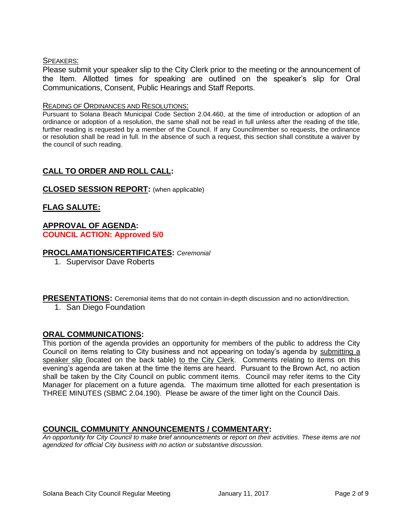#### SPEAKERS:

Please submit your speaker slip to the City Clerk prior to the meeting or the announcement of the Item. Allotted times for speaking are outlined on the speaker's slip for Oral Communications, Consent, Public Hearings and Staff Reports.

#### READING OF ORDINANCES AND RESOLUTIONS:

Pursuant to Solana Beach Municipal Code Section 2.04.460, at the time of introduction or adoption of an ordinance or adoption of a resolution, the same shall not be read in full unless after the reading of the title, further reading is requested by a member of the Council. If any Councilmember so requests, the ordinance or resolution shall be read in full. In the absence of such a request, this section shall constitute a waiver by the council of such reading.

## **CALL TO ORDER AND ROLL CALL:**

#### **CLOSED SESSION REPORT:** (when applicable)

## **FLAG SALUTE:**

#### **APPROVAL OF AGENDA: COUNCIL ACTION: Approved 5/0**

#### **PROCLAMATIONS/CERTIFICATES:** *Ceremonial*

1. Supervisor Dave Roberts

**PRESENTATIONS:** Ceremonial items that do not contain in-depth discussion and no action/direction.

1. San Diego Foundation

#### **ORAL COMMUNICATIONS:**

This portion of the agenda provides an opportunity for members of the public to address the City Council on items relating to City business and not appearing on today's agenda by submitting a speaker slip (located on the back table) to the City Clerk. Comments relating to items on this evening's agenda are taken at the time the items are heard. Pursuant to the Brown Act, no action shall be taken by the City Council on public comment items. Council may refer items to the City Manager for placement on a future agenda. The maximum time allotted for each presentation is THREE MINUTES (SBMC 2.04.190). Please be aware of the timer light on the Council Dais.

#### **COUNCIL COMMUNITY ANNOUNCEMENTS / COMMENTARY:**

*An opportunity for City Council to make brief announcements or report on their activities. These items are not agendized for official City business with no action or substantive discussion.*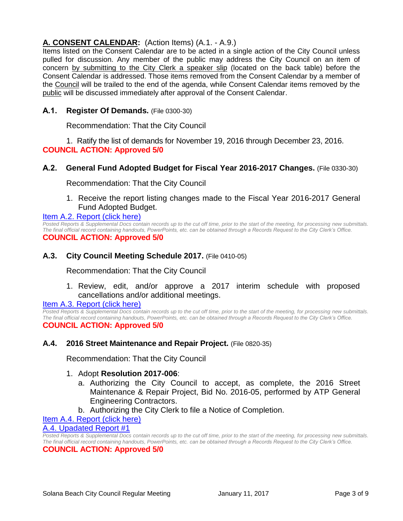## **A. CONSENT CALENDAR:** (Action Items) (A.1. - A.9.)

Items listed on the Consent Calendar are to be acted in a single action of the City Council unless pulled for discussion. Any member of the public may address the City Council on an item of concern by submitting to the City Clerk a speaker slip (located on the back table) before the Consent Calendar is addressed. Those items removed from the Consent Calendar by a member of the Council will be trailed to the end of the agenda, while Consent Calendar items removed by the public will be discussed immediately after approval of the Consent Calendar.

## **A.1. Register Of Demands.** (File 0300-30)

Recommendation: That the City Council

1. Ratify the list of demands for November 19, 2016 through December 23, 2016. **COUNCIL ACTION: Approved 5/0**

## **A.2. General Fund Adopted Budget for Fiscal Year 2016-2017 Changes.** (File 0330-30)

Recommendation: That the City Council

1. Receive the report listing changes made to the Fiscal Year 2016-2017 General Fund Adopted Budget.

#### [Item A.2. Report \(click here\)](https://solanabeach.govoffice3.com/vertical/Sites/%7B840804C2-F869-4904-9AE3-720581350CE7%7D/uploads/Item_A.2._Report_(click_here)_01-11-17.PDF)

*Posted Reports & Supplemental Docs contain records up to the cut off time, prior to the start of the meeting, for processing new submittals. The final official record containing handouts, PowerPoints, etc. can be obtained through a Records Request to the City Clerk's Office.* **COUNCIL ACTION: Approved 5/0**

## **A.3. City Council Meeting Schedule 2017.** (File 0410-05)

Recommendation: That the City Council

1. Review, edit, and/or approve a 2017 interim schedule with proposed cancellations and/or additional meetings.

## [Item A.3. Report \(click here\)](https://solanabeach.govoffice3.com/vertical/Sites/%7B840804C2-F869-4904-9AE3-720581350CE7%7D/uploads/Item_A.3._Report_(click_here)_01-11-17.PDF)

*Posted Reports & Supplemental Docs contain records up to the cut off time, prior to the start of the meeting, for processing new submittals. The final official record containing handouts, PowerPoints, etc. can be obtained through a Records Request to the City Clerk's Office.* **COUNCIL ACTION: Approved 5/0**

## **A.4. 2016 Street Maintenance and Repair Project.** (File 0820-35)

Recommendation: That the City Council

## 1. Adopt **Resolution 2017-006**:

- a. Authorizing the City Council to accept, as complete, the 2016 Street Maintenance & Repair Project, Bid No. 2016-05, performed by ATP General Engineering Contractors.
- b. Authorizing the City Clerk to file a Notice of Completion.

## [Item A.4. Report \(click here\)](https://solanabeach.govoffice3.com/vertical/Sites/%7B840804C2-F869-4904-9AE3-720581350CE7%7D/uploads/Item_A.4._Report_(click_here)_01-11-17.PDF)

## [A.4. Upadated Report #1](https://solanabeach.govoffice3.com/vertical/Sites/%7B840804C2-F869-4904-9AE3-720581350CE7%7D/uploads/A.4._Updated_Report_1_-_01-11-17.pdf)

*Posted Reports & Supplemental Docs contain records up to the cut off time, prior to the start of the meeting, for processing new submittals. The final official record containing handouts, PowerPoints, etc. can be obtained through a Records Request to the City Clerk's Office.* **COUNCIL ACTION: Approved 5/0**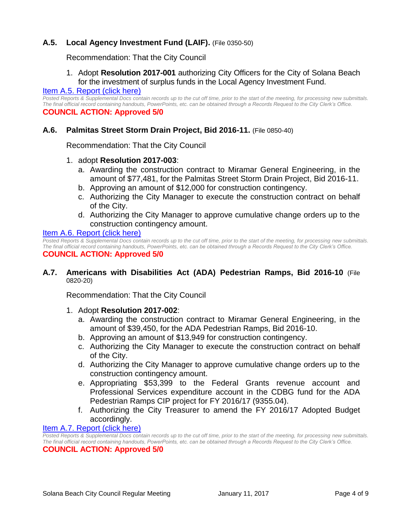## **A.5. Local Agency Investment Fund (LAIF).** (File 0350-50)

Recommendation: That the City Council

## 1. Adopt **Resolution 2017-001** authorizing City Officers for the City of Solana Beach for the investment of surplus funds in the Local Agency Investment Fund.

#### [Item A.5. Report \(click here\)](https://solanabeach.govoffice3.com/vertical/Sites/%7B840804C2-F869-4904-9AE3-720581350CE7%7D/uploads/Item_A.5._Report_(click_here)_01-11-17.PDF)

*Posted Reports & Supplemental Docs contain records up to the cut off time, prior to the start of the meeting, for processing new submittals. The final official record containing handouts, PowerPoints, etc. can be obtained through a Records Request to the City Clerk's Office.* **COUNCIL ACTION: Approved 5/0**

#### **A.6. Palmitas Street Storm Drain Project, Bid 2016-11.** (File 0850-40)

Recommendation: That the City Council

#### 1. adopt **Resolution 2017-003**:

- a. Awarding the construction contract to Miramar General Engineering, in the amount of \$77,481, for the Palmitas Street Storm Drain Project, Bid 2016-11.
- b. Approving an amount of \$12,000 for construction contingency.
- c. Authorizing the City Manager to execute the construction contract on behalf of the City.
- d. Authorizing the City Manager to approve cumulative change orders up to the construction contingency amount.

#### [Item A.6. Report \(click here\)](https://solanabeach.govoffice3.com/vertical/Sites/%7B840804C2-F869-4904-9AE3-720581350CE7%7D/uploads/Item_A.6._Report_(click_here)_01-11-17.PDF)

*Posted Reports & Supplemental Docs contain records up to the cut off time, prior to the start of the meeting, for processing new submittals. The final official record containing handouts, PowerPoints, etc. can be obtained through a Records Request to the City Clerk's Office.* **COUNCIL ACTION: Approved 5/0**

#### **A.7. Americans with Disabilities Act (ADA) Pedestrian Ramps, Bid 2016-10** (File 0820-20)

Recommendation: That the City Council

#### 1. Adopt **Resolution 2017-002**:

- a. Awarding the construction contract to Miramar General Engineering, in the amount of \$39,450, for the ADA Pedestrian Ramps, Bid 2016-10.
- b. Approving an amount of \$13,949 for construction contingency.
- c. Authorizing the City Manager to execute the construction contract on behalf of the City.
- d. Authorizing the City Manager to approve cumulative change orders up to the construction contingency amount.
- e. Appropriating \$53,399 to the Federal Grants revenue account and Professional Services expenditure account in the CDBG fund for the ADA Pedestrian Ramps CIP project for FY 2016/17 (9355.04).
- f. Authorizing the City Treasurer to amend the FY 2016/17 Adopted Budget accordingly.

#### [Item A.7. Report \(click here\)](https://solanabeach.govoffice3.com/vertical/Sites/%7B840804C2-F869-4904-9AE3-720581350CE7%7D/uploads/Item_A.7._Report_(click_here)_01-11-17.PDF)

*Posted Reports & Supplemental Docs contain records up to the cut off time, prior to the start of the meeting, for processing new submittals. The final official record containing handouts, PowerPoints, etc. can be obtained through a Records Request to the City Clerk's Office.* **COUNCIL ACTION: Approved 5/0**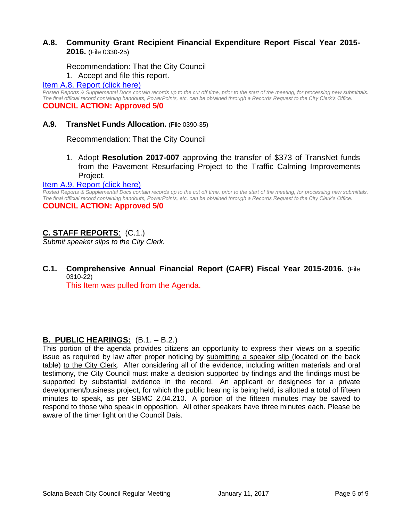## **A.8. Community Grant Recipient Financial Expenditure Report Fiscal Year 2015- 2016.** (File 0330-25)

#### Recommendation: That the City Council

#### 1. Accept and file this report.

#### [Item A.8. Report \(click here\)](https://solanabeach.govoffice3.com/vertical/Sites/%7B840804C2-F869-4904-9AE3-720581350CE7%7D/uploads/Item_A.8._Report_(click_here)_01-11-17.PDF)

*Posted Reports & Supplemental Docs contain records up to the cut off time, prior to the start of the meeting, for processing new submittals. The final official record containing handouts, PowerPoints, etc. can be obtained through a Records Request to the City Clerk's Office.* **COUNCIL ACTION: Approved 5/0**

# **A.9. TransNet Funds Allocation.** (File 0390-35)

Recommendation: That the City Council

1. Adopt **Resolution 2017-007** approving the transfer of \$373 of TransNet funds from the Pavement Resurfacing Project to the Traffic Calming Improvements Project.

#### [Item A.9. Report \(click here\)](https://solanabeach.govoffice3.com/vertical/Sites/%7B840804C2-F869-4904-9AE3-720581350CE7%7D/uploads/Item_A.9._Report_(click_here)_01-11-17.PDF)

*Posted Reports & Supplemental Docs contain records up to the cut off time, prior to the start of the meeting, for processing new submittals. The final official record containing handouts, PowerPoints, etc. can be obtained through a Records Request to the City Clerk's Office.*

## **COUNCIL ACTION: Approved 5/0**

## **C. STAFF REPORTS**: (C.1.)

*Submit speaker slips to the City Clerk.*

**C.1. Comprehensive Annual Financial Report (CAFR) Fiscal Year 2015-2016.** (File 0310-22)

This Item was pulled from the Agenda.

## **B. PUBLIC HEARINGS:** (B.1. – B.2.)

This portion of the agenda provides citizens an opportunity to express their views on a specific issue as required by law after proper noticing by submitting a speaker slip (located on the back table) to the City Clerk. After considering all of the evidence, including written materials and oral testimony, the City Council must make a decision supported by findings and the findings must be supported by substantial evidence in the record. An applicant or designees for a private development/business project, for which the public hearing is being held, is allotted a total of fifteen minutes to speak, as per SBMC 2.04.210. A portion of the fifteen minutes may be saved to respond to those who speak in opposition. All other speakers have three minutes each. Please be aware of the timer light on the Council Dais.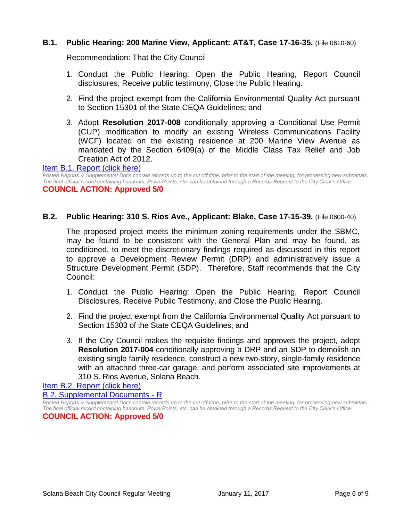#### **B.1. Public Hearing: 200 Marine View, Applicant: AT&T, Case 17-16-35.** (File 0610-60)

Recommendation: That the City Council

- 1. Conduct the Public Hearing: Open the Public Hearing, Report Council disclosures, Receive public testimony, Close the Public Hearing.
- 2. Find the project exempt from the California Environmental Quality Act pursuant to Section 15301 of the State CEQA Guidelines; and
- 3. Adopt **Resolution 2017-008** conditionally approving a Conditional Use Permit (CUP) modification to modify an existing Wireless Communications Facility (WCF) located on the existing residence at 200 Marine View Avenue as mandated by the Section 6409(a) of the Middle Class Tax Relief and Job Creation Act of 2012.

#### [Item B.1. Report \(click here\)](https://solanabeach.govoffice3.com/vertical/Sites/%7B840804C2-F869-4904-9AE3-720581350CE7%7D/uploads/Item_B.1._Report_(click_here)_01-11-17.PDF)

*Posted Reports & Supplemental Docs contain records up to the cut off time, prior to the start of the meeting, for processing new submittals. The final official record containing handouts, PowerPoints, etc. can be obtained through a Records Request to the City Clerk's Office.* **COUNCIL ACTION: Approved 5/0**

#### **B.2. Public Hearing: 310 S. Rios Ave., Applicant: Blake, Case 17-15-39.** (File 0600-40)

The proposed project meets the minimum zoning requirements under the SBMC, may be found to be consistent with the General Plan and may be found, as conditioned, to meet the discretionary findings required as discussed in this report to approve a Development Review Permit (DRP) and administratively issue a Structure Development Permit (SDP). Therefore, Staff recommends that the City Council:

- 1. Conduct the Public Hearing: Open the Public Hearing, Report Council Disclosures, Receive Public Testimony, and Close the Public Hearing.
- 2. Find the project exempt from the California Environmental Quality Act pursuant to Section 15303 of the State CEQA Guidelines; and
- 3. If the City Council makes the requisite findings and approves the project, adopt **Resolution 2017-004** conditionally approving a DRP and an SDP to demolish an existing single family residence, construct a new two-story, single-family residence with an attached three-car garage, and perform associated site improvements at 310 S. Rios Avenue, Solana Beach.

[Item B.2. Report \(click here\)](https://solanabeach.govoffice3.com/vertical/Sites/%7B840804C2-F869-4904-9AE3-720581350CE7%7D/uploads/Item_B.2._Report_(click_here)_01-11-17.PDF)

[B.2. Supplemental Documents -](https://solanabeach.govoffice3.com/vertical/Sites/%7B840804C2-F869-4904-9AE3-720581350CE7%7D/uploads/B.2._Supplemental_Documents_-_R_1-11-17.pdf) R

*Posted Reports & Supplemental Docs contain records up to the cut off time, prior to the start of the meeting, for processing new submittals. The final official record containing handouts, PowerPoints, etc. can be obtained through a Records Request to the City Clerk's Office.* **COUNCIL ACTION: Approved 5/0**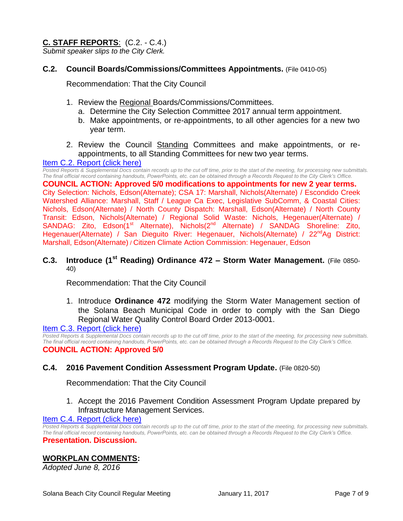## **C. STAFF REPORTS**: (C.2. - C.4.)

*Submit speaker slips to the City Clerk.*

#### **C.2. Council Boards/Commissions/Committees Appointments.** (File 0410-05)

Recommendation: That the City Council

- 1. Review the Regional Boards/Commissions/Committees.
	- a. Determine the City Selection Committee 2017 annual term appointment.
	- b. Make appointments, or re-appointments, to all other agencies for a new two year term.
- 2. Review the Council Standing Committees and make appointments, or reappointments, to all Standing Committees for new two year terms.

#### [Item C.2. Report \(click here\)](https://solanabeach.govoffice3.com/vertical/Sites/%7B840804C2-F869-4904-9AE3-720581350CE7%7D/uploads/Item_C.2._Report_(click_here)_01-11-17.PDF)

*Posted Reports & Supplemental Docs contain records up to the cut off time, prior to the start of the meeting, for processing new submittals. The final official record containing handouts, PowerPoints, etc. can be obtained through a Records Request to the City Clerk's Office.*

**COUNCIL ACTION: Approved 5/0 modifications to appointments for new 2 year terms.**  City Selection: Nichols, Edson(Alternate); CSA 17: Marshall, Nichols(Alternate) / Escondido Creek Watershed Alliance: Marshall, Staff / League Ca Exec, Legislative SubComm, & Coastal Cities: Nichols, Edson(Alternate) / North County Dispatch: Marshall, Edson(Alternate) / North County Transit: Edson, Nichols(Alternate) / Regional Solid Waste: Nichols, Hegenauer(Alternate) / SANDAG: Zito, Edson(1<sup>st</sup> Alternate), Nichols(2<sup>nd</sup> Alternate) / SANDAG Shoreline: Zito, Hegenauer(Alternate) / San Dieguito River: Hegenauer, Nichols(Alternate) / 22<sup>nd</sup>Ag District: Marshall, Edson(Alternate) / Citizen Climate Action Commission: Hegenauer, Edson

## **C.3. Introduce (1st Reading) Ordinance 472 – Storm Water Management.** (File 0850- 40)

Recommendation: That the City Council

1. Introduce **Ordinance 472** modifying the Storm Water Management section of the Solana Beach Municipal Code in order to comply with the San Diego Regional Water Quality Control Board Order 2013-0001.

## [Item C.3. Report \(click here\)](https://solanabeach.govoffice3.com/vertical/Sites/%7B840804C2-F869-4904-9AE3-720581350CE7%7D/uploads/Item_C.3._Report_(click_here)_01-11-17.PDF)

*Posted Reports & Supplemental Docs contain records up to the cut off time, prior to the start of the meeting, for processing new submittals. The final official record containing handouts, PowerPoints, etc. can be obtained through a Records Request to the City Clerk's Office.* **COUNCIL ACTION: Approved 5/0**

#### **C.4. 2016 Pavement Condition Assessment Program Update.** (File 0820-50)

Recommendation: That the City Council

1. Accept the 2016 Pavement Condition Assessment Program Update prepared by Infrastructure Management Services.

#### [Item C.4. Report \(click here\)](https://solanabeach.govoffice3.com/vertical/Sites/%7B840804C2-F869-4904-9AE3-720581350CE7%7D/uploads/Item_C.4._Report_(click_here)_01-11-17.PDF)

*Posted Reports & Supplemental Docs contain records up to the cut off time, prior to the start of the meeting, for processing new submittals. The final official record containing handouts, PowerPoints, etc. can be obtained through a Records Request to the City Clerk's Office.* **Presentation. Discussion.** 

## **WORKPLAN COMMENTS:**

*Adopted June 8, 2016*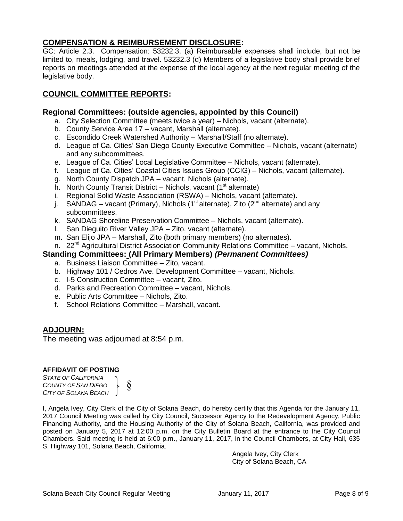## **COMPENSATION & REIMBURSEMENT DISCLOSURE:**

GC: Article 2.3. Compensation: 53232.3. (a) Reimbursable expenses shall include, but not be limited to, meals, lodging, and travel. 53232.3 (d) Members of a legislative body shall provide brief reports on meetings attended at the expense of the local agency at the next regular meeting of the legislative body.

## **COUNCIL COMMITTEE REPORTS:**

## **Regional Committees: (outside agencies, appointed by this Council)**

- a. City Selection Committee (meets twice a year) Nichols, vacant (alternate).
- b. County Service Area 17 vacant, Marshall (alternate).
- c. Escondido Creek Watershed Authority Marshall/Staff (no alternate).
- d. League of Ca. Cities' San Diego County Executive Committee Nichols, vacant (alternate) and any subcommittees.
- e. League of Ca. Cities' Local Legislative Committee Nichols, vacant (alternate).
- f. League of Ca. Cities' Coastal Cities Issues Group (CCIG) Nichols, vacant (alternate).
- g. North County Dispatch JPA vacant, Nichols (alternate).
- h. North County Transit District Nichols, vacant  $(1<sup>st</sup>$  alternate)
- i. Regional Solid Waste Association (RSWA) Nichols, vacant (alternate).
- j. SANDAG vacant (Primary), Nichols (1<sup>st</sup> alternate), Zito (2<sup>nd</sup> alternate) and any subcommittees.
- k. SANDAG Shoreline Preservation Committee Nichols, vacant (alternate).
- l. San Dieguito River Valley JPA Zito, vacant (alternate).
- m. San Elijo JPA Marshall, Zito (both primary members) (no alternates).
- n. 22<sup>nd</sup> Agricultural District Association Community Relations Committee vacant, Nichols.

## **Standing Committees: (All Primary Members)** *(Permanent Committees)*

- a. Business Liaison Committee Zito, vacant.
- b. Highway 101 / Cedros Ave. Development Committee vacant, Nichols.
- c. I-5 Construction Committee vacant, Zito.
- d. Parks and Recreation Committee vacant, Nichols.
- e. Public Arts Committee Nichols, Zito.
- f. School Relations Committee Marshall, vacant.

## **ADJOURN:**

The meeting was adjourned at 8:54 p.m.

#### **AFFIDAVIT OF POSTING**

*STATE OF CALIFORNIA COUNTY OF SAN DIEGO CITY OF SOLANA BEACH* §

I, Angela Ivey, City Clerk of the City of Solana Beach, do hereby certify that this Agenda for the January 11, 2017 Council Meeting was called by City Council, Successor Agency to the Redevelopment Agency, Public Financing Authority, and the Housing Authority of the City of Solana Beach, California, was provided and posted on January 5, 2017 at 12:00 p.m. on the City Bulletin Board at the entrance to the City Council Chambers. Said meeting is held at 6:00 p.m., January 11, 2017, in the Council Chambers, at City Hall, 635 S. Highway 101, Solana Beach, California.

> Angela Ivey, City Clerk City of Solana Beach, CA